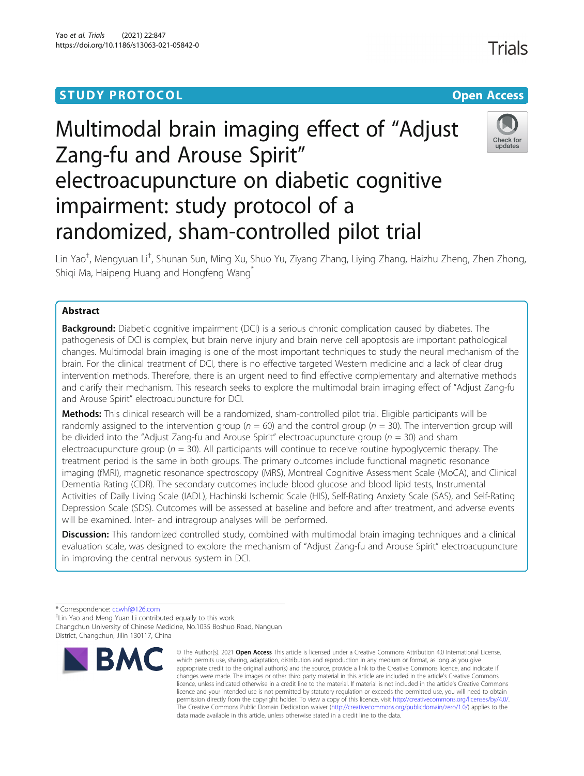# **STUDY PROTOCOL CONSUMING THE RESERVE ACCESS**

# Multimodal brain imaging effect of "Adjust Zang-fu and Arouse Spirit" electroacupuncture on diabetic cognitive impairment: study protocol of a randomized, sham-controlled pilot trial



Lin Yao<sup>†</sup>, Mengyuan Li<sup>†</sup>, Shunan Sun, Ming Xu, Shuo Yu, Ziyang Zhang, Liying Zhang, Haizhu Zheng, Zhen Zhong, Shiqi Ma, Haipeng Huang and Hongfeng Wang

# Abstract

**Background:** Diabetic cognitive impairment (DCI) is a serious chronic complication caused by diabetes. The pathogenesis of DCI is complex, but brain nerve injury and brain nerve cell apoptosis are important pathological changes. Multimodal brain imaging is one of the most important techniques to study the neural mechanism of the brain. For the clinical treatment of DCI, there is no effective targeted Western medicine and a lack of clear drug intervention methods. Therefore, there is an urgent need to find effective complementary and alternative methods and clarify their mechanism. This research seeks to explore the multimodal brain imaging effect of "Adjust Zang-fu and Arouse Spirit" electroacupuncture for DCI.

Methods: This clinical research will be a randomized, sham-controlled pilot trial. Eligible participants will be randomly assigned to the intervention group ( $n = 60$ ) and the control group ( $n = 30$ ). The intervention group will be divided into the "Adjust Zang-fu and Arouse Spirit" electroacupuncture group ( $n = 30$ ) and sham electroacupuncture group ( $n = 30$ ). All participants will continue to receive routine hypoglycemic therapy. The treatment period is the same in both groups. The primary outcomes include functional magnetic resonance imaging (fMRI), magnetic resonance spectroscopy (MRS), Montreal Cognitive Assessment Scale (MoCA), and Clinical Dementia Rating (CDR). The secondary outcomes include blood glucose and blood lipid tests, Instrumental Activities of Daily Living Scale (IADL), Hachinski Ischemic Scale (HIS), Self-Rating Anxiety Scale (SAS), and Self-Rating Depression Scale (SDS). Outcomes will be assessed at baseline and before and after treatment, and adverse events will be examined. Inter- and intragroup analyses will be performed.

Discussion: This randomized controlled study, combined with multimodal brain imaging techniques and a clinical evaluation scale, was designed to explore the mechanism of "Adjust Zang-fu and Arouse Spirit" electroacupuncture in improving the central nervous system in DCI.

\* Correspondence: [ccwhf@126.com](mailto:ccwhf@126.com) †

<sup>+</sup>Lin Yao and Meng Yuan Li contributed equally to this work. Changchun University of Chinese Medicine, No.1035 Boshuo Road, Nanguan District, Changchun, Jilin 130117, China



<sup>©</sup> The Author(s), 2021 **Open Access** This article is licensed under a Creative Commons Attribution 4.0 International License, which permits use, sharing, adaptation, distribution and reproduction in any medium or format, as long as you give appropriate credit to the original author(s) and the source, provide a link to the Creative Commons licence, and indicate if changes were made. The images or other third party material in this article are included in the article's Creative Commons licence, unless indicated otherwise in a credit line to the material. If material is not included in the article's Creative Commons licence and your intended use is not permitted by statutory regulation or exceeds the permitted use, you will need to obtain permission directly from the copyright holder. To view a copy of this licence, visit [http://creativecommons.org/licenses/by/4.0/.](http://creativecommons.org/licenses/by/4.0/) The Creative Commons Public Domain Dedication waiver [\(http://creativecommons.org/publicdomain/zero/1.0/](http://creativecommons.org/publicdomain/zero/1.0/)) applies to the data made available in this article, unless otherwise stated in a credit line to the data.

**Trials**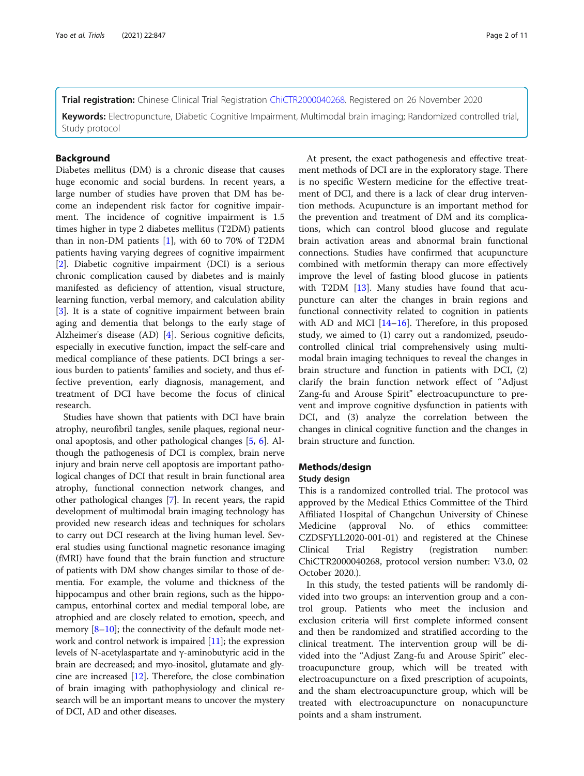Keywords: Electropuncture, Diabetic Cognitive Impairment, Multimodal brain imaging; Randomized controlled trial, Study protocol

# **Background**

Diabetes mellitus (DM) is a chronic disease that causes huge economic and social burdens. In recent years, a large number of studies have proven that DM has become an independent risk factor for cognitive impairment. The incidence of cognitive impairment is 1.5 times higher in type 2 diabetes mellitus (T2DM) patients than in non-DM patients  $[1]$  $[1]$ , with 60 to 70% of T2DM patients having varying degrees of cognitive impairment [[2\]](#page-10-0). Diabetic cognitive impairment (DCI) is a serious chronic complication caused by diabetes and is mainly manifested as deficiency of attention, visual structure, learning function, verbal memory, and calculation ability [[3\]](#page-10-0). It is a state of cognitive impairment between brain aging and dementia that belongs to the early stage of Alzheimer's disease (AD) [[4\]](#page-10-0). Serious cognitive deficits, especially in executive function, impact the self-care and medical compliance of these patients. DCI brings a serious burden to patients' families and society, and thus effective prevention, early diagnosis, management, and treatment of DCI have become the focus of clinical research.

Studies have shown that patients with DCI have brain atrophy, neurofibril tangles, senile plaques, regional neuronal apoptosis, and other pathological changes [[5,](#page-10-0) [6\]](#page-10-0). Although the pathogenesis of DCI is complex, brain nerve injury and brain nerve cell apoptosis are important pathological changes of DCI that result in brain functional area atrophy, functional connection network changes, and other pathological changes [[7](#page-10-0)]. In recent years, the rapid development of multimodal brain imaging technology has provided new research ideas and techniques for scholars to carry out DCI research at the living human level. Several studies using functional magnetic resonance imaging (fMRI) have found that the brain function and structure of patients with DM show changes similar to those of dementia. For example, the volume and thickness of the hippocampus and other brain regions, such as the hippocampus, entorhinal cortex and medial temporal lobe, are atrophied and are closely related to emotion, speech, and memory  $[8-10]$  $[8-10]$  $[8-10]$ ; the connectivity of the default mode network and control network is impaired [\[11\]](#page-10-0); the expression levels of N-acetylaspartate and γ-aminobutyric acid in the brain are decreased; and myo-inositol, glutamate and glycine are increased [[12](#page-10-0)]. Therefore, the close combination of brain imaging with pathophysiology and clinical research will be an important means to uncover the mystery of DCI, AD and other diseases.

At present, the exact pathogenesis and effective treatment methods of DCI are in the exploratory stage. There is no specific Western medicine for the effective treatment of DCI, and there is a lack of clear drug intervention methods. Acupuncture is an important method for the prevention and treatment of DM and its complications, which can control blood glucose and regulate brain activation areas and abnormal brain functional connections. Studies have confirmed that acupuncture combined with metformin therapy can more effectively improve the level of fasting blood glucose in patients with T2DM [\[13\]](#page-10-0). Many studies have found that acupuncture can alter the changes in brain regions and functional connectivity related to cognition in patients with AD and MCI  $[14–16]$  $[14–16]$  $[14–16]$ . Therefore, in this proposed study, we aimed to (1) carry out a randomized, pseudocontrolled clinical trial comprehensively using multimodal brain imaging techniques to reveal the changes in brain structure and function in patients with DCI, (2) clarify the brain function network effect of "Adjust Zang-fu and Arouse Spirit" electroacupuncture to prevent and improve cognitive dysfunction in patients with DCI, and (3) analyze the correlation between the changes in clinical cognitive function and the changes in brain structure and function.

# Methods/design

# Study design

This is a randomized controlled trial. The protocol was approved by the Medical Ethics Committee of the Third Affiliated Hospital of Changchun University of Chinese Medicine (approval No. of ethics committee: CZDSFYLL2020-001-01) and registered at the Chinese Clinical Trial Registry (registration number: ChiCTR2000040268, protocol version number: V3.0, 02 October 2020.).

In this study, the tested patients will be randomly divided into two groups: an intervention group and a control group. Patients who meet the inclusion and exclusion criteria will first complete informed consent and then be randomized and stratified according to the clinical treatment. The intervention group will be divided into the "Adjust Zang-fu and Arouse Spirit" electroacupuncture group, which will be treated with electroacupuncture on a fixed prescription of acupoints, and the sham electroacupuncture group, which will be treated with electroacupuncture on nonacupuncture points and a sham instrument.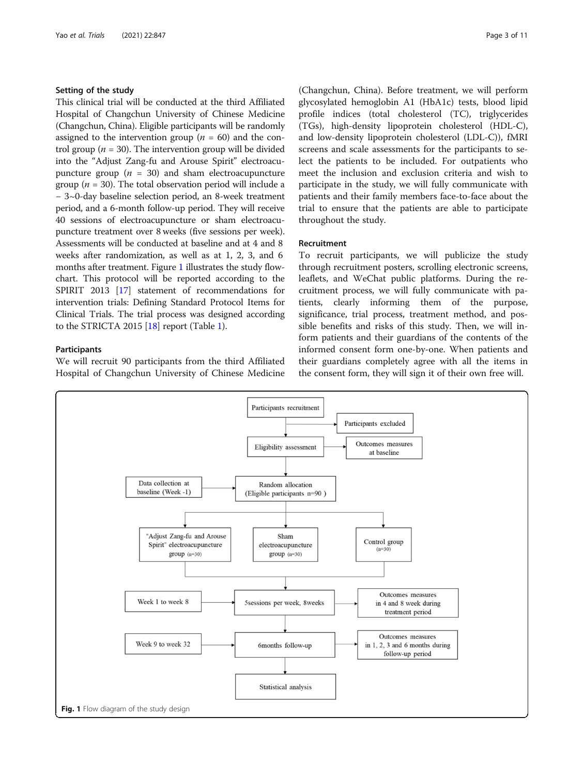# Setting of the study

This clinical trial will be conducted at the third Affiliated Hospital of Changchun University of Chinese Medicine (Changchun, China). Eligible participants will be randomly assigned to the intervention group ( $n = 60$ ) and the control group ( $n = 30$ ). The intervention group will be divided into the "Adjust Zang-fu and Arouse Spirit" electroacupuncture group  $(n = 30)$  and sham electroacupuncture group ( $n = 30$ ). The total observation period will include a − 3~0-day baseline selection period, an 8-week treatment period, and a 6-month follow-up period. They will receive 40 sessions of electroacupuncture or sham electroacupuncture treatment over 8 weeks (five sessions per week). Assessments will be conducted at baseline and at 4 and 8 weeks after randomization, as well as at 1, 2, 3, and 6 months after treatment. Figure 1 illustrates the study flowchart. This protocol will be reported according to the SPIRIT 2013 [\[17\]](#page-10-0) statement of recommendations for intervention trials: Defining Standard Protocol Items for Clinical Trials. The trial process was designed according to the STRICTA 2015 [[18](#page-10-0)] report (Table [1\)](#page-3-0).

# Participants

We will recruit 90 participants from the third Affiliated Hospital of Changchun University of Chinese Medicine

(Changchun, China). Before treatment, we will perform glycosylated hemoglobin A1 (HbA1c) tests, blood lipid profile indices (total cholesterol (TC), triglycerides (TGs), high-density lipoprotein cholesterol (HDL-C), and low-density lipoprotein cholesterol (LDL-C)), fMRI screens and scale assessments for the participants to select the patients to be included. For outpatients who meet the inclusion and exclusion criteria and wish to participate in the study, we will fully communicate with patients and their family members face-to-face about the trial to ensure that the patients are able to participate throughout the study.

# Recruitment

To recruit participants, we will publicize the study through recruitment posters, scrolling electronic screens, leaflets, and WeChat public platforms. During the recruitment process, we will fully communicate with patients, clearly informing them of the purpose, significance, trial process, treatment method, and possible benefits and risks of this study. Then, we will inform patients and their guardians of the contents of the informed consent form one-by-one. When patients and their guardians completely agree with all the items in the consent form, they will sign it of their own free will.

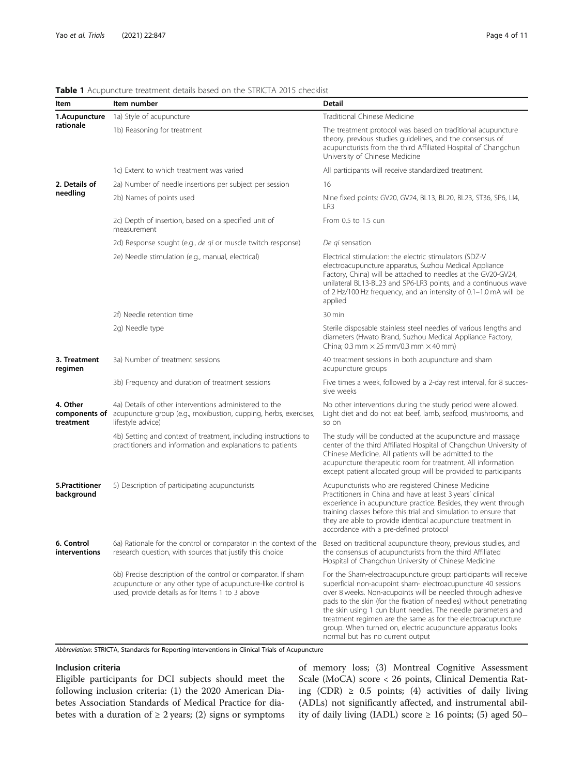| Item                         | Item number                                                                                                                                                                                  | Detail                                                                                                                                                                                                                                                                                                                                                                                                                                                                                                      |  |  |  |  |  |
|------------------------------|----------------------------------------------------------------------------------------------------------------------------------------------------------------------------------------------|-------------------------------------------------------------------------------------------------------------------------------------------------------------------------------------------------------------------------------------------------------------------------------------------------------------------------------------------------------------------------------------------------------------------------------------------------------------------------------------------------------------|--|--|--|--|--|
| 1.Acupuncture<br>rationale   | 1a) Style of acupuncture                                                                                                                                                                     | Traditional Chinese Medicine                                                                                                                                                                                                                                                                                                                                                                                                                                                                                |  |  |  |  |  |
|                              | 1b) Reasoning for treatment                                                                                                                                                                  | The treatment protocol was based on traditional acupuncture<br>theory, previous studies guidelines, and the consensus of<br>acupuncturists from the third Affiliated Hospital of Changchun<br>University of Chinese Medicine                                                                                                                                                                                                                                                                                |  |  |  |  |  |
|                              | 1c) Extent to which treatment was varied                                                                                                                                                     | All participants will receive standardized treatment.                                                                                                                                                                                                                                                                                                                                                                                                                                                       |  |  |  |  |  |
| 2. Details of                | 2a) Number of needle insertions per subject per session                                                                                                                                      | 16                                                                                                                                                                                                                                                                                                                                                                                                                                                                                                          |  |  |  |  |  |
| needling                     | 2b) Names of points used                                                                                                                                                                     | Nine fixed points: GV20, GV24, BL13, BL20, BL23, ST36, SP6, LI4,<br>LR3                                                                                                                                                                                                                                                                                                                                                                                                                                     |  |  |  |  |  |
|                              | 2c) Depth of insertion, based on a specified unit of<br>measurement                                                                                                                          | From 0.5 to 1.5 cun                                                                                                                                                                                                                                                                                                                                                                                                                                                                                         |  |  |  |  |  |
|                              | 2d) Response sought (e.g., de qi or muscle twitch response)                                                                                                                                  | De qi sensation                                                                                                                                                                                                                                                                                                                                                                                                                                                                                             |  |  |  |  |  |
|                              | 2e) Needle stimulation (e.g., manual, electrical)                                                                                                                                            | Electrical stimulation: the electric stimulators (SDZ-V<br>electroacupuncture apparatus, Suzhou Medical Appliance<br>Factory, China) will be attached to needles at the GV20-GV24,<br>unilateral BL13-BL23 and SP6-LR3 points, and a continuous wave<br>of 2 Hz/100 Hz frequency, and an intensity of 0.1-1.0 mA will be<br>applied                                                                                                                                                                         |  |  |  |  |  |
|                              | 2f) Needle retention time                                                                                                                                                                    | 30 min                                                                                                                                                                                                                                                                                                                                                                                                                                                                                                      |  |  |  |  |  |
|                              | 2g) Needle type                                                                                                                                                                              | Sterile disposable stainless steel needles of various lengths and<br>diameters (Hwato Brand, Suzhou Medical Appliance Factory,<br>China; 0.3 mm $\times$ 25 mm/0.3 mm $\times$ 40 mm)                                                                                                                                                                                                                                                                                                                       |  |  |  |  |  |
| 3. Treatment<br>regimen      | 3a) Number of treatment sessions                                                                                                                                                             | 40 treatment sessions in both acupuncture and sham<br>acupuncture groups                                                                                                                                                                                                                                                                                                                                                                                                                                    |  |  |  |  |  |
|                              | 3b) Frequency and duration of treatment sessions                                                                                                                                             | Five times a week, followed by a 2-day rest interval, for 8 succes-<br>sive weeks                                                                                                                                                                                                                                                                                                                                                                                                                           |  |  |  |  |  |
| 4. Other<br>treatment        | 4a) Details of other interventions administered to the<br>components of acupuncture group (e.g., moxibustion, cupping, herbs, exercises,<br>lifestyle advice)                                | No other interventions during the study period were allowed.<br>Light diet and do not eat beef, lamb, seafood, mushrooms, and<br>so on                                                                                                                                                                                                                                                                                                                                                                      |  |  |  |  |  |
|                              | 4b) Setting and context of treatment, including instructions to<br>practitioners and information and explanations to patients                                                                | The study will be conducted at the acupuncture and massage<br>center of the third Affiliated Hospital of Changchun University of<br>Chinese Medicine. All patients will be admitted to the<br>acupuncture therapeutic room for treatment. All information<br>except patient allocated group will be provided to participants                                                                                                                                                                                |  |  |  |  |  |
| 5.Practitioner<br>background | 5) Description of participating acupuncturists                                                                                                                                               | Acupuncturists who are registered Chinese Medicine<br>Practitioners in China and have at least 3 years' clinical<br>experience in acupuncture practice. Besides, they went through<br>training classes before this trial and simulation to ensure that<br>they are able to provide identical acupuncture treatment in<br>accordance with a pre-defined protocol                                                                                                                                             |  |  |  |  |  |
| 6. Control<br>interventions  | 6a) Rationale for the control or comparator in the context of the Based on traditional acupuncture theory, previous studies, and<br>research question, with sources that justify this choice | the consensus of acupuncturists from the third Affiliated<br>Hospital of Changchun University of Chinese Medicine                                                                                                                                                                                                                                                                                                                                                                                           |  |  |  |  |  |
|                              | 6b) Precise description of the control or comparator. If sham<br>acupuncture or any other type of acupuncture-like control is<br>used, provide details as for Items 1 to 3 above             | For the Sham-electroacupuncture group: participants will receive<br>superficial non-acupoint sham- electroacupuncture 40 sessions<br>over 8 weeks. Non-acupoints will be needled through adhesive<br>pads to the skin (for the fixation of needles) without penetrating<br>the skin using 1 cun blunt needles. The needle parameters and<br>treatment regimen are the same as for the electroacupuncture<br>group. When turned on, electric acupuncture apparatus looks<br>normal but has no current output |  |  |  |  |  |

# <span id="page-3-0"></span>Table 1 Acupuncture treatment details based on the STRICTA 2015 checklist

Abbreviation: STRICTA, Standards for Reporting Interventions in Clinical Trials of Acupuncture

# Inclusion criteria

Eligible participants for DCI subjects should meet the following inclusion criteria: (1) the 2020 American Diabetes Association Standards of Medical Practice for diabetes with a duration of  $\geq 2$  years; (2) signs or symptoms of memory loss; (3) Montreal Cognitive Assessment Scale (MoCA) score < 26 points, Clinical Dementia Rating (CDR)  $\geq$  0.5 points; (4) activities of daily living (ADLs) not significantly affected, and instrumental ability of daily living (IADL) score  $\geq$  16 points; (5) aged 50–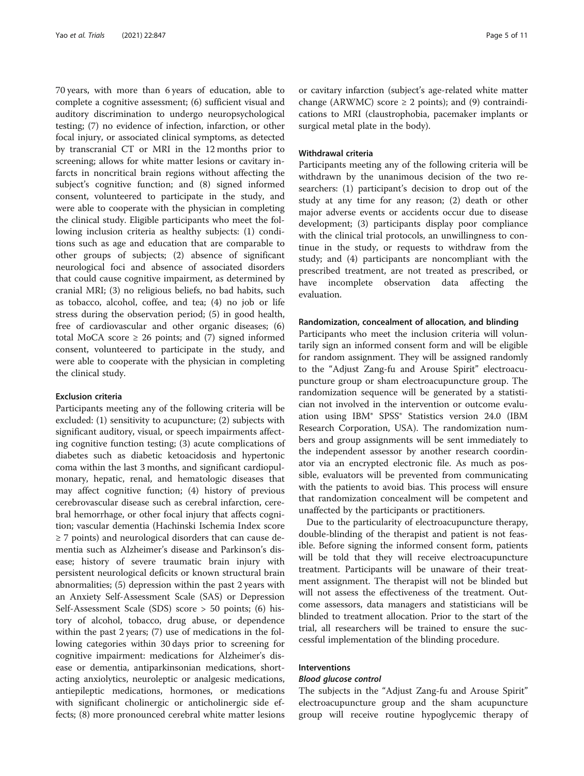70 years, with more than 6 years of education, able to complete a cognitive assessment; (6) sufficient visual and auditory discrimination to undergo neuropsychological testing; (7) no evidence of infection, infarction, or other focal injury, or associated clinical symptoms, as detected by transcranial CT or MRI in the 12 months prior to screening; allows for white matter lesions or cavitary infarcts in noncritical brain regions without affecting the subject's cognitive function; and (8) signed informed consent, volunteered to participate in the study, and were able to cooperate with the physician in completing the clinical study. Eligible participants who meet the following inclusion criteria as healthy subjects: (1) conditions such as age and education that are comparable to other groups of subjects; (2) absence of significant neurological foci and absence of associated disorders that could cause cognitive impairment, as determined by cranial MRI; (3) no religious beliefs, no bad habits, such as tobacco, alcohol, coffee, and tea; (4) no job or life stress during the observation period; (5) in good health, free of cardiovascular and other organic diseases; (6) total MoCA score  $\geq$  26 points; and (7) signed informed consent, volunteered to participate in the study, and were able to cooperate with the physician in completing the clinical study.

# Exclusion criteria

Participants meeting any of the following criteria will be excluded: (1) sensitivity to acupuncture; (2) subjects with significant auditory, visual, or speech impairments affecting cognitive function testing; (3) acute complications of diabetes such as diabetic ketoacidosis and hypertonic coma within the last 3 months, and significant cardiopulmonary, hepatic, renal, and hematologic diseases that may affect cognitive function; (4) history of previous cerebrovascular disease such as cerebral infarction, cerebral hemorrhage, or other focal injury that affects cognition; vascular dementia (Hachinski Ischemia Index score ≥ 7 points) and neurological disorders that can cause dementia such as Alzheimer's disease and Parkinson's disease; history of severe traumatic brain injury with persistent neurological deficits or known structural brain abnormalities; (5) depression within the past 2 years with an Anxiety Self-Assessment Scale (SAS) or Depression Self-Assessment Scale (SDS) score > 50 points; (6) history of alcohol, tobacco, drug abuse, or dependence within the past 2 years; (7) use of medications in the following categories within 30 days prior to screening for cognitive impairment: medications for Alzheimer's disease or dementia, antiparkinsonian medications, shortacting anxiolytics, neuroleptic or analgesic medications, antiepileptic medications, hormones, or medications with significant cholinergic or anticholinergic side effects; (8) more pronounced cerebral white matter lesions or cavitary infarction (subject's age-related white matter change (ARWMC) score  $\geq$  2 points); and (9) contraindications to MRI (claustrophobia, pacemaker implants or surgical metal plate in the body).

# Withdrawal criteria

Participants meeting any of the following criteria will be withdrawn by the unanimous decision of the two researchers: (1) participant's decision to drop out of the study at any time for any reason; (2) death or other major adverse events or accidents occur due to disease development; (3) participants display poor compliance with the clinical trial protocols, an unwillingness to continue in the study, or requests to withdraw from the study; and (4) participants are noncompliant with the prescribed treatment, are not treated as prescribed, or have incomplete observation data affecting the evaluation.

#### Randomization, concealment of allocation, and blinding

Participants who meet the inclusion criteria will voluntarily sign an informed consent form and will be eligible for random assignment. They will be assigned randomly to the "Adjust Zang-fu and Arouse Spirit" electroacupuncture group or sham electroacupuncture group. The randomization sequence will be generated by a statistician not involved in the intervention or outcome evaluation using IBM® SPSS® Statistics version 24.0 (IBM Research Corporation, USA). The randomization numbers and group assignments will be sent immediately to the independent assessor by another research coordinator via an encrypted electronic file. As much as possible, evaluators will be prevented from communicating with the patients to avoid bias. This process will ensure that randomization concealment will be competent and unaffected by the participants or practitioners.

Due to the particularity of electroacupuncture therapy, double-blinding of the therapist and patient is not feasible. Before signing the informed consent form, patients will be told that they will receive electroacupuncture treatment. Participants will be unaware of their treatment assignment. The therapist will not be blinded but will not assess the effectiveness of the treatment. Outcome assessors, data managers and statisticians will be blinded to treatment allocation. Prior to the start of the trial, all researchers will be trained to ensure the successful implementation of the blinding procedure.

# Interventions

#### Blood glucose control

The subjects in the "Adjust Zang-fu and Arouse Spirit" electroacupuncture group and the sham acupuncture group will receive routine hypoglycemic therapy of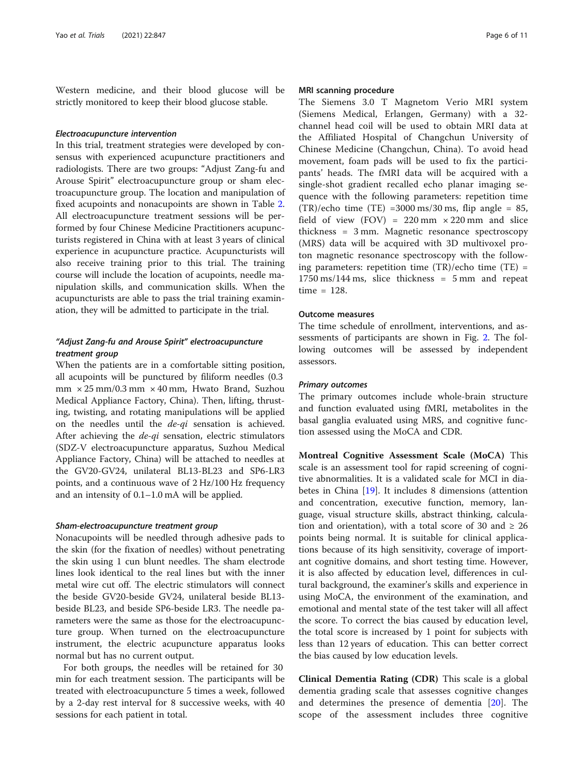Western medicine, and their blood glucose will be strictly monitored to keep their blood glucose stable.

#### Electroacupuncture intervention

In this trial, treatment strategies were developed by consensus with experienced acupuncture practitioners and radiologists. There are two groups: "Adjust Zang-fu and Arouse Spirit" electroacupuncture group or sham electroacupuncture group. The location and manipulation of fixed acupoints and nonacupoints are shown in Table [2](#page-6-0). All electroacupuncture treatment sessions will be performed by four Chinese Medicine Practitioners acupuncturists registered in China with at least 3 years of clinical experience in acupuncture practice. Acupuncturists will also receive training prior to this trial. The training course will include the location of acupoints, needle manipulation skills, and communication skills. When the acupuncturists are able to pass the trial training examination, they will be admitted to participate in the trial.

# "Adjust Zang-fu and Arouse Spirit" electroacupuncture treatment group

When the patients are in a comfortable sitting position, all acupoints will be punctured by filiform needles (0.3 mm × 25 mm/0.3 mm × 40 mm, Hwato Brand, Suzhou Medical Appliance Factory, China). Then, lifting, thrusting, twisting, and rotating manipulations will be applied on the needles until the de-qi sensation is achieved. After achieving the  $de-qi$  sensation, electric stimulators (SDZ-V electroacupuncture apparatus, Suzhou Medical Appliance Factory, China) will be attached to needles at the GV20-GV24, unilateral BL13-BL23 and SP6-LR3 points, and a continuous wave of 2 Hz/100 Hz frequency and an intensity of 0.1–1.0 mA will be applied.

#### Sham-electroacupuncture treatment group

Nonacupoints will be needled through adhesive pads to the skin (for the fixation of needles) without penetrating the skin using 1 cun blunt needles. The sham electrode lines look identical to the real lines but with the inner metal wire cut off. The electric stimulators will connect the beside GV20-beside GV24, unilateral beside BL13 beside BL23, and beside SP6-beside LR3. The needle parameters were the same as those for the electroacupuncture group. When turned on the electroacupuncture instrument, the electric acupuncture apparatus looks normal but has no current output.

For both groups, the needles will be retained for 30 min for each treatment session. The participants will be treated with electroacupuncture 5 times a week, followed by a 2-day rest interval for 8 successive weeks, with 40 sessions for each patient in total.

# MRI scanning procedure

The Siemens 3.0 T Magnetom Verio MRI system (Siemens Medical, Erlangen, Germany) with a 32 channel head coil will be used to obtain MRI data at the Affiliated Hospital of Changchun University of Chinese Medicine (Changchun, China). To avoid head movement, foam pads will be used to fix the participants' heads. The fMRI data will be acquired with a single-shot gradient recalled echo planar imaging sequence with the following parameters: repetition time  $(TR)/echo$  time  $(TE) = 3000$  ms/30 ms, flip angle = 85, field of view (FOV) =  $220 \text{ mm} \times 220 \text{ mm}$  and slice thickness = 3 mm. Magnetic resonance spectroscopy (MRS) data will be acquired with 3D multivoxel proton magnetic resonance spectroscopy with the following parameters: repetition time (TR)/echo time (TE) =  $1750 \text{ ms}/144 \text{ ms}$ , slice thickness = 5 mm and repeat time = 128.

#### Outcome measures

The time schedule of enrollment, interventions, and assessments of participants are shown in Fig. [2.](#page-7-0) The following outcomes will be assessed by independent assessors.

#### Primary outcomes

The primary outcomes include whole-brain structure and function evaluated using fMRI, metabolites in the basal ganglia evaluated using MRS, and cognitive function assessed using the MoCA and CDR.

Montreal Cognitive Assessment Scale (MoCA) This scale is an assessment tool for rapid screening of cognitive abnormalities. It is a validated scale for MCI in diabetes in China [[19\]](#page-10-0). It includes 8 dimensions (attention and concentration, executive function, memory, language, visual structure skills, abstract thinking, calculation and orientation), with a total score of 30 and  $\geq 26$ points being normal. It is suitable for clinical applications because of its high sensitivity, coverage of important cognitive domains, and short testing time. However, it is also affected by education level, differences in cultural background, the examiner's skills and experience in using MoCA, the environment of the examination, and emotional and mental state of the test taker will all affect the score. To correct the bias caused by education level, the total score is increased by 1 point for subjects with less than 12 years of education. This can better correct the bias caused by low education levels.

Clinical Dementia Rating (CDR) This scale is a global dementia grading scale that assesses cognitive changes and determines the presence of dementia [[20\]](#page-10-0). The scope of the assessment includes three cognitive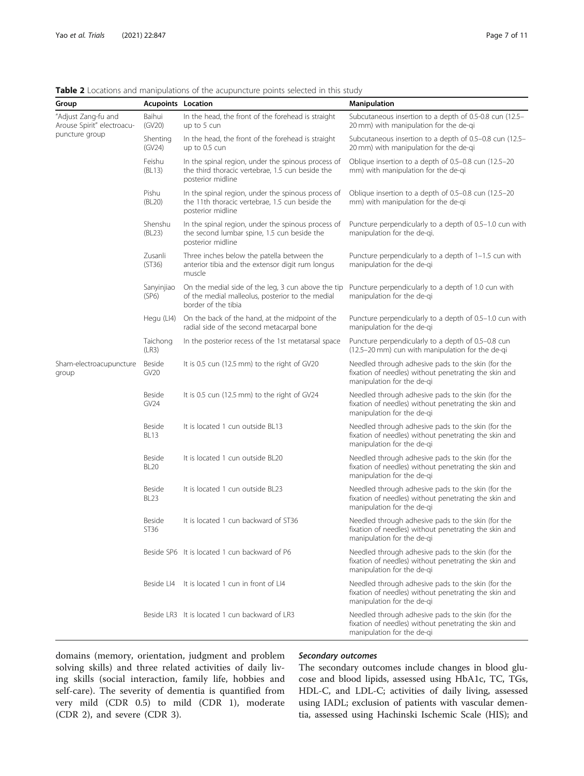| Group                                             | <b>Acupoints Location</b>    |                                                                                                                               | <b>Manipulation</b>                                                                                                                       |  |  |  |  |
|---------------------------------------------------|------------------------------|-------------------------------------------------------------------------------------------------------------------------------|-------------------------------------------------------------------------------------------------------------------------------------------|--|--|--|--|
| "Adjust Zang-fu and<br>Arouse Spirit" electroacu- | Baihui<br>(GV20)             | In the head, the front of the forehead is straight<br>up to 5 cun                                                             | Subcutaneous insertion to a depth of 0.5-0.8 cun (12.5–<br>20 mm) with manipulation for the de-gi                                         |  |  |  |  |
| puncture group                                    | Shenting<br>(GV24)           | In the head, the front of the forehead is straight<br>up to 0.5 cun                                                           | Subcutaneous insertion to a depth of 0.5-0.8 cun (12.5-<br>20 mm) with manipulation for the de-gi                                         |  |  |  |  |
|                                                   | Feishu<br>(BL13)             | In the spinal region, under the spinous process of<br>the third thoracic vertebrae, 1.5 cun beside the<br>posterior midline   | Oblique insertion to a depth of 0.5-0.8 cun (12.5-20<br>mm) with manipulation for the de-qi                                               |  |  |  |  |
|                                                   | Pishu<br>(BL20)              | In the spinal region, under the spinous process of<br>the 11th thoracic vertebrae, 1.5 cun beside the<br>posterior midline    | Oblique insertion to a depth of 0.5–0.8 cun (12.5–20<br>mm) with manipulation for the de-qi                                               |  |  |  |  |
|                                                   | Shenshu<br>(BL23)            | In the spinal region, under the spinous process of<br>the second lumbar spine, 1.5 cun beside the<br>posterior midline        | Puncture perpendicularly to a depth of 0.5-1.0 cun with<br>manipulation for the de-gi.                                                    |  |  |  |  |
|                                                   | Zusanli<br>(ST36)            | Three inches below the patella between the<br>anterior tibia and the extensor digit rum longus<br>muscle                      | Puncture perpendicularly to a depth of 1-1.5 cun with<br>manipulation for the de-gi                                                       |  |  |  |  |
|                                                   | Sanyinjiao<br>(SP6)          | On the medial side of the leg, 3 cun above the tip<br>of the medial malleolus, posterior to the medial<br>border of the tibia | Puncture perpendicularly to a depth of 1.0 cun with<br>manipulation for the de-gi                                                         |  |  |  |  |
|                                                   | Hegu (LI4)                   | On the back of the hand, at the midpoint of the<br>radial side of the second metacarpal bone                                  | Puncture perpendicularly to a depth of 0.5-1.0 cun with<br>manipulation for the de-gi                                                     |  |  |  |  |
|                                                   | Taichong<br>(LR3)            | In the posterior recess of the 1st metatarsal space                                                                           | Puncture perpendicularly to a depth of 0.5-0.8 cun<br>(12.5-20 mm) cun with manipulation for the de-qi                                    |  |  |  |  |
| Sham-electroacupuncture<br>group                  | Beside<br>GV20               | It is 0.5 cun (12.5 mm) to the right of GV20                                                                                  | Needled through adhesive pads to the skin (for the<br>fixation of needles) without penetrating the skin and<br>manipulation for the de-gi |  |  |  |  |
|                                                   | Beside<br>GV24               | It is 0.5 cun (12.5 mm) to the right of GV24                                                                                  | Needled through adhesive pads to the skin (for the<br>fixation of needles) without penetrating the skin and<br>manipulation for the de-gi |  |  |  |  |
|                                                   | Beside<br><b>BL13</b>        | It is located 1 cun outside BL13                                                                                              | Needled through adhesive pads to the skin (for the<br>fixation of needles) without penetrating the skin and<br>manipulation for the de-gi |  |  |  |  |
|                                                   | <b>Beside</b><br><b>BL20</b> | It is located 1 cun outside BL20                                                                                              | Needled through adhesive pads to the skin (for the<br>fixation of needles) without penetrating the skin and<br>manipulation for the de-gi |  |  |  |  |
|                                                   | Beside<br><b>BL23</b>        | It is located 1 cun outside BL23                                                                                              | Needled through adhesive pads to the skin (for the<br>fixation of needles) without penetrating the skin and<br>manipulation for the de-gi |  |  |  |  |
|                                                   | <b>Beside</b><br>ST36        | It is located 1 cun backward of ST36                                                                                          | Needled through adhesive pads to the skin (for the<br>fixation of needles) without penetrating the skin and<br>manipulation for the de-gi |  |  |  |  |
|                                                   |                              | Beside SP6 It is located 1 cun backward of P6                                                                                 | Needled through adhesive pads to the skin (for the<br>fixation of needles) without penetrating the skin and<br>manipulation for the de-gi |  |  |  |  |
|                                                   | Beside   I4                  | It is located 1 cun in front of LI4                                                                                           | Needled through adhesive pads to the skin (for the<br>fixation of needles) without penetrating the skin and<br>manipulation for the de-gi |  |  |  |  |
|                                                   |                              | Beside LR3 It is located 1 cun backward of LR3                                                                                | Needled through adhesive pads to the skin (for the<br>fixation of needles) without penetrating the skin and<br>manipulation for the de-qi |  |  |  |  |

<span id="page-6-0"></span>Table 2 Locations and manipulations of the acupuncture points selected in this study

domains (memory, orientation, judgment and problem solving skills) and three related activities of daily living skills (social interaction, family life, hobbies and self-care). The severity of dementia is quantified from very mild (CDR 0.5) to mild (CDR 1), moderate (CDR 2), and severe (CDR 3).

#### Secondary outcomes

The secondary outcomes include changes in blood glucose and blood lipids, assessed using HbA1c, TC, TGs, HDL-C, and LDL-C; activities of daily living, assessed using IADL; exclusion of patients with vascular dementia, assessed using Hachinski Ischemic Scale (HIS); and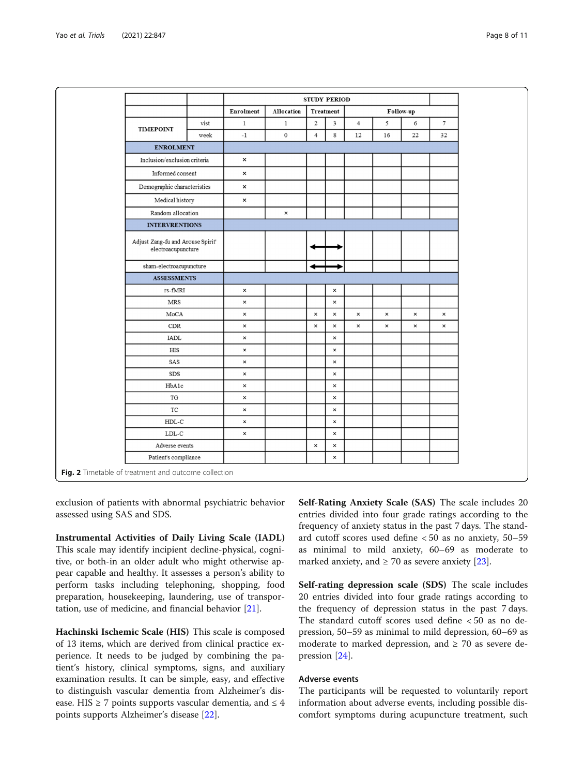<span id="page-7-0"></span>

|                                                         |      | <b>STUDY PERIOD</b>       |                     |                  |                           |                |                |                |                |
|---------------------------------------------------------|------|---------------------------|---------------------|------------------|---------------------------|----------------|----------------|----------------|----------------|
|                                                         |      | Enrolment                 | Allocation          |                  | Treatment                 | Follow-up      |                |                |                |
| <b>TIMEPOINT</b>                                        | vist | $\mathbf{1}$              | $1\,$               | $\boldsymbol{2}$ | 3                         | $\overline{4}$ | 5              | 6              | $\overline{7}$ |
|                                                         | week | $-1$                      | $\mathsf{O}\xspace$ | $\overline{4}$   | 8                         | 12             | 16             | 22             | 32             |
| <b>ENROLMENT</b>                                        |      |                           |                     |                  |                           |                |                |                |                |
| Inclusion/exclusion criteria                            |      | $\boldsymbol{\mathsf{x}}$ |                     |                  |                           |                |                |                |                |
| Informed consent                                        |      | $\boldsymbol{\mathsf{x}}$ |                     |                  |                           |                |                |                |                |
| $\label{lem:main} \textbf{Demographic characteristics}$ |      | $\boldsymbol{\mathsf{x}}$ |                     |                  |                           |                |                |                |                |
| Medical history                                         |      | $\boldsymbol{\mathsf{x}}$ |                     |                  |                           |                |                |                |                |
| Random allocation                                       |      |                           | $\pmb{\times}$      |                  |                           |                |                |                |                |
| <b>INTERVRENTIONS</b>                                   |      |                           |                     |                  |                           |                |                |                |                |
| Adjust Zang-fu and Arouse Spirit'<br>electroacupuncture |      |                           |                     |                  |                           |                |                |                |                |
| sham-electroacupuncture                                 |      |                           |                     |                  |                           |                |                |                |                |
| <b>ASSESSMENTS</b>                                      |      |                           |                     |                  |                           |                |                |                |                |
| rs-fMRI                                                 |      | ×                         |                     |                  | $\pmb{\times}$            |                |                |                |                |
| MRS                                                     |      | ×                         |                     |                  | $\pmb{\times}$            |                |                |                |                |
| MoCA                                                    |      | $\pmb{\times}$            |                     | $\pmb{\times}$   | $\pmb{\times}$            | $\pmb{\times}$ | $\pmb{\times}$ | $\pmb{\times}$ | ×              |
| CDR                                                     |      | $\pmb{\times}$            |                     | ×                | $\pmb{\times}$            | $\pmb{\times}$ | $\pmb{\times}$ | $\pmb{\times}$ | $\pmb{\times}$ |
| IADL                                                    |      | ×                         |                     |                  | $\pmb{\times}$            |                |                |                |                |
| $_{\rm HIS}$                                            |      | $\pmb{\times}$            |                     |                  | $\pmb{\times}$            |                |                |                |                |
| SAS                                                     |      | ×                         |                     |                  | $\pmb{\times}$            |                |                |                |                |
| SDS                                                     |      | $\pmb{\times}$            |                     |                  | $\boldsymbol{\mathsf{x}}$ |                |                |                |                |
| HbA1c                                                   |      | ×                         |                     |                  | $\pmb{\times}$            |                |                |                |                |
| TG                                                      |      | $\pmb{\times}$            |                     |                  | $\pmb{\times}$            |                |                |                |                |
| $\protect\operatorname{TC}$                             |      | ×                         |                     |                  | $\pmb{\times}$            |                |                |                |                |
| ${\tt HDL-C}$                                           |      | ×                         |                     |                  | $\times$                  |                |                |                |                |
| $\operatorname{LDL-C}$                                  |      | ×                         |                     |                  | $\pmb{\times}$            |                |                |                |                |
| Adverse events                                          |      |                           |                     | $\pmb{\times}$   | $\pmb{\times}$            |                |                |                |                |
| Patient's compliance                                    |      |                           |                     |                  | $\pmb{\times}$            |                |                |                |                |

exclusion of patients with abnormal psychiatric behavior assessed using SAS and SDS.

Instrumental Activities of Daily Living Scale (IADL) This scale may identify incipient decline-physical, cognitive, or both-in an older adult who might otherwise appear capable and healthy. It assesses a person's ability to perform tasks including telephoning, shopping, food preparation, housekeeping, laundering, use of transportation, use of medicine, and financial behavior [[21\]](#page-10-0).

Hachinski Ischemic Scale (HIS) This scale is composed of 13 items, which are derived from clinical practice experience. It needs to be judged by combining the patient's history, clinical symptoms, signs, and auxiliary examination results. It can be simple, easy, and effective to distinguish vascular dementia from Alzheimer's disease. HIS  $\geq$  7 points supports vascular dementia, and  $\leq$  4 points supports Alzheimer's disease [[22\]](#page-10-0).

Self-Rating Anxiety Scale (SAS) The scale includes 20 entries divided into four grade ratings according to the frequency of anxiety status in the past 7 days. The standard cutoff scores used define < 50 as no anxiety, 50–59 as minimal to mild anxiety, 60–69 as moderate to marked anxiety, and  $\geq 70$  as severe anxiety [\[23](#page-10-0)].

Self-rating depression scale (SDS) The scale includes 20 entries divided into four grade ratings according to the frequency of depression status in the past 7 days. The standard cutoff scores used define < 50 as no depression, 50–59 as minimal to mild depression, 60–69 as moderate to marked depression, and  $\geq$  70 as severe depression [[24\]](#page-10-0).

# Adverse events

The participants will be requested to voluntarily report information about adverse events, including possible discomfort symptoms during acupuncture treatment, such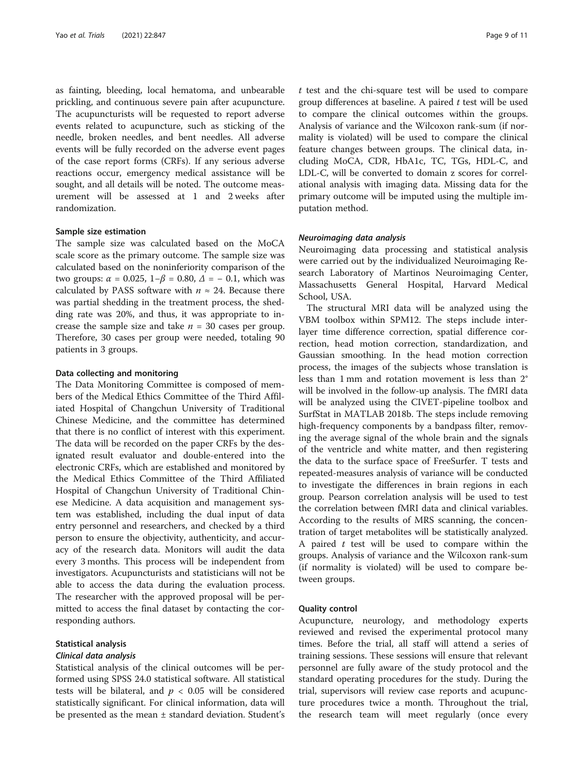as fainting, bleeding, local hematoma, and unbearable prickling, and continuous severe pain after acupuncture. The acupuncturists will be requested to report adverse events related to acupuncture, such as sticking of the needle, broken needles, and bent needles. All adverse events will be fully recorded on the adverse event pages of the case report forms (CRFs). If any serious adverse reactions occur, emergency medical assistance will be sought, and all details will be noted. The outcome measurement will be assessed at 1 and 2 weeks after randomization.

#### Sample size estimation

The sample size was calculated based on the MoCA scale score as the primary outcome. The sample size was calculated based on the noninferiority comparison of the two groups:  $\alpha = 0.025$ ,  $1-\beta = 0.80$ ,  $\Delta = -0.1$ , which was calculated by PASS software with  $n \approx 24$ . Because there was partial shedding in the treatment process, the shedding rate was 20%, and thus, it was appropriate to increase the sample size and take  $n = 30$  cases per group. Therefore, 30 cases per group were needed, totaling 90 patients in 3 groups.

#### Data collecting and monitoring

The Data Monitoring Committee is composed of members of the Medical Ethics Committee of the Third Affiliated Hospital of Changchun University of Traditional Chinese Medicine, and the committee has determined that there is no conflict of interest with this experiment. The data will be recorded on the paper CRFs by the designated result evaluator and double-entered into the electronic CRFs, which are established and monitored by the Medical Ethics Committee of the Third Affiliated Hospital of Changchun University of Traditional Chinese Medicine. A data acquisition and management system was established, including the dual input of data entry personnel and researchers, and checked by a third person to ensure the objectivity, authenticity, and accuracy of the research data. Monitors will audit the data every 3 months. This process will be independent from investigators. Acupuncturists and statisticians will not be able to access the data during the evaluation process. The researcher with the approved proposal will be permitted to access the final dataset by contacting the corresponding authors.

# Statistical analysis

# Clinical data analysis

Statistical analysis of the clinical outcomes will be performed using SPSS 24.0 statistical software. All statistical tests will be bilateral, and  $p < 0.05$  will be considered statistically significant. For clinical information, data will be presented as the mean  $\pm$  standard deviation. Student's t test and the chi-square test will be used to compare group differences at baseline. A paired  $t$  test will be used to compare the clinical outcomes within the groups. Analysis of variance and the Wilcoxon rank-sum (if normality is violated) will be used to compare the clinical feature changes between groups. The clinical data, including MoCA, CDR, HbA1c, TC, TGs, HDL-C, and LDL-C, will be converted to domain z scores for correlational analysis with imaging data. Missing data for the primary outcome will be imputed using the multiple imputation method.

# Neuroimaging data analysis

Neuroimaging data processing and statistical analysis were carried out by the individualized Neuroimaging Research Laboratory of Martinos Neuroimaging Center, Massachusetts General Hospital, Harvard Medical School, USA.

The structural MRI data will be analyzed using the VBM toolbox within SPM12. The steps include interlayer time difference correction, spatial difference correction, head motion correction, standardization, and Gaussian smoothing. In the head motion correction process, the images of the subjects whose translation is less than 1 mm and rotation movement is less than 2° will be involved in the follow-up analysis. The fMRI data will be analyzed using the CIVET-pipeline toolbox and SurfStat in MATLAB 2018b. The steps include removing high-frequency components by a bandpass filter, removing the average signal of the whole brain and the signals of the ventricle and white matter, and then registering the data to the surface space of FreeSurfer. T tests and repeated-measures analysis of variance will be conducted to investigate the differences in brain regions in each group. Pearson correlation analysis will be used to test the correlation between fMRI data and clinical variables. According to the results of MRS scanning, the concentration of target metabolites will be statistically analyzed. A paired  $t$  test will be used to compare within the groups. Analysis of variance and the Wilcoxon rank-sum (if normality is violated) will be used to compare between groups.

#### Quality control

Acupuncture, neurology, and methodology experts reviewed and revised the experimental protocol many times. Before the trial, all staff will attend a series of training sessions. These sessions will ensure that relevant personnel are fully aware of the study protocol and the standard operating procedures for the study. During the trial, supervisors will review case reports and acupuncture procedures twice a month. Throughout the trial, the research team will meet regularly (once every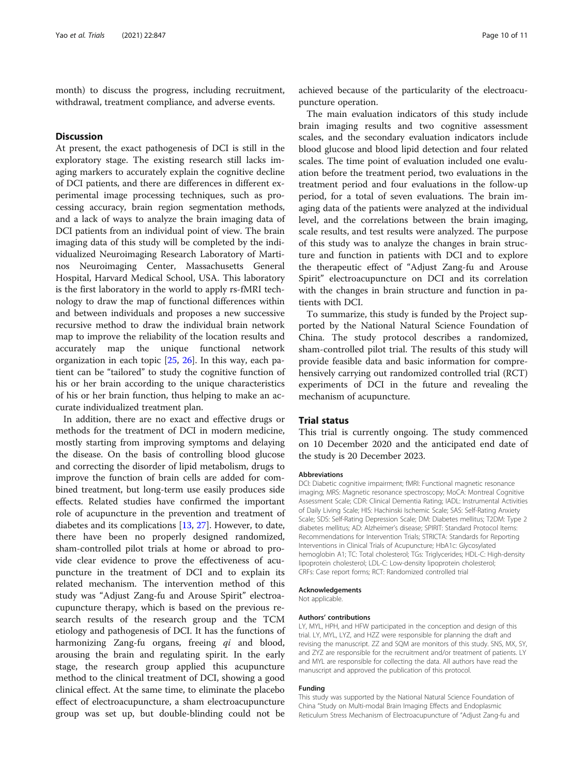month) to discuss the progress, including recruitment, withdrawal, treatment compliance, and adverse events.

# **Discussion**

At present, the exact pathogenesis of DCI is still in the exploratory stage. The existing research still lacks imaging markers to accurately explain the cognitive decline of DCI patients, and there are differences in different experimental image processing techniques, such as processing accuracy, brain region segmentation methods, and a lack of ways to analyze the brain imaging data of DCI patients from an individual point of view. The brain imaging data of this study will be completed by the individualized Neuroimaging Research Laboratory of Martinos Neuroimaging Center, Massachusetts General Hospital, Harvard Medical School, USA. This laboratory is the first laboratory in the world to apply rs-fMRI technology to draw the map of functional differences within and between individuals and proposes a new successive recursive method to draw the individual brain network map to improve the reliability of the location results and accurately map the unique functional network organization in each topic [[25,](#page-10-0) [26\]](#page-10-0). In this way, each patient can be "tailored" to study the cognitive function of his or her brain according to the unique characteristics of his or her brain function, thus helping to make an accurate individualized treatment plan.

In addition, there are no exact and effective drugs or methods for the treatment of DCI in modern medicine, mostly starting from improving symptoms and delaying the disease. On the basis of controlling blood glucose and correcting the disorder of lipid metabolism, drugs to improve the function of brain cells are added for combined treatment, but long-term use easily produces side effects. Related studies have confirmed the important role of acupuncture in the prevention and treatment of diabetes and its complications [[13,](#page-10-0) [27](#page-10-0)]. However, to date, there have been no properly designed randomized, sham-controlled pilot trials at home or abroad to provide clear evidence to prove the effectiveness of acupuncture in the treatment of DCI and to explain its related mechanism. The intervention method of this study was "Adjust Zang-fu and Arouse Spirit" electroacupuncture therapy, which is based on the previous research results of the research group and the TCM etiology and pathogenesis of DCI. It has the functions of harmonizing Zang-fu organs, freeing  $qi$  and blood, arousing the brain and regulating spirit. In the early stage, the research group applied this acupuncture method to the clinical treatment of DCI, showing a good clinical effect. At the same time, to eliminate the placebo effect of electroacupuncture, a sham electroacupuncture group was set up, but double-blinding could not be

achieved because of the particularity of the electroacupuncture operation.

The main evaluation indicators of this study include brain imaging results and two cognitive assessment scales, and the secondary evaluation indicators include blood glucose and blood lipid detection and four related scales. The time point of evaluation included one evaluation before the treatment period, two evaluations in the treatment period and four evaluations in the follow-up period, for a total of seven evaluations. The brain imaging data of the patients were analyzed at the individual level, and the correlations between the brain imaging, scale results, and test results were analyzed. The purpose of this study was to analyze the changes in brain structure and function in patients with DCI and to explore the therapeutic effect of "Adjust Zang-fu and Arouse Spirit" electroacupuncture on DCI and its correlation with the changes in brain structure and function in patients with DCI.

To summarize, this study is funded by the Project supported by the National Natural Science Foundation of China. The study protocol describes a randomized, sham-controlled pilot trial. The results of this study will provide feasible data and basic information for comprehensively carrying out randomized controlled trial (RCT) experiments of DCI in the future and revealing the mechanism of acupuncture.

# Trial status

This trial is currently ongoing. The study commenced on 10 December 2020 and the anticipated end date of the study is 20 December 2023.

#### Abbreviations

DCI: Diabetic cognitive impairment; fMRI: Functional magnetic resonance imaging; MRS: Magnetic resonance spectroscopy; MoCA: Montreal Cognitive Assessment Scale; CDR: Clinical Dementia Rating; IADL: Instrumental Activities of Daily Living Scale; HIS: Hachinski Ischemic Scale; SAS: Self-Rating Anxiety Scale; SDS: Self-Rating Depression Scale; DM: Diabetes mellitus; T2DM: Type 2 diabetes mellitus; AD: Alzheimer's disease; SPIRIT: Standard Protocol Items: Recommendations for Intervention Trials; STRICTA: Standards for Reporting Interventions in Clinical Trials of Acupuncture; HbA1c: Glycosylated hemoglobin A1; TC: Total cholesterol; TGs: Triglycerides; HDL-C: High-density lipoprotein cholesterol; LDL-C: Low-density lipoprotein cholesterol; CRFs: Case report forms; RCT: Randomized controlled trial

#### Acknowledgements

Not applicable.

#### Authors' contributions

LY, MYL, HPH, and HFW participated in the conception and design of this trial. LY, MYL, LYZ, and HZZ were responsible for planning the draft and revising the manuscript. ZZ and SQM are monitors of this study. SNS, MX, SY, and ZYZ are responsible for the recruitment and/or treatment of patients. LY and MYL are responsible for collecting the data. All authors have read the manuscript and approved the publication of this protocol.

#### Funding

This study was supported by the National Natural Science Foundation of China "Study on Multi-modal Brain Imaging Effects and Endoplasmic Reticulum Stress Mechanism of Electroacupuncture of "Adjust Zang-fu and